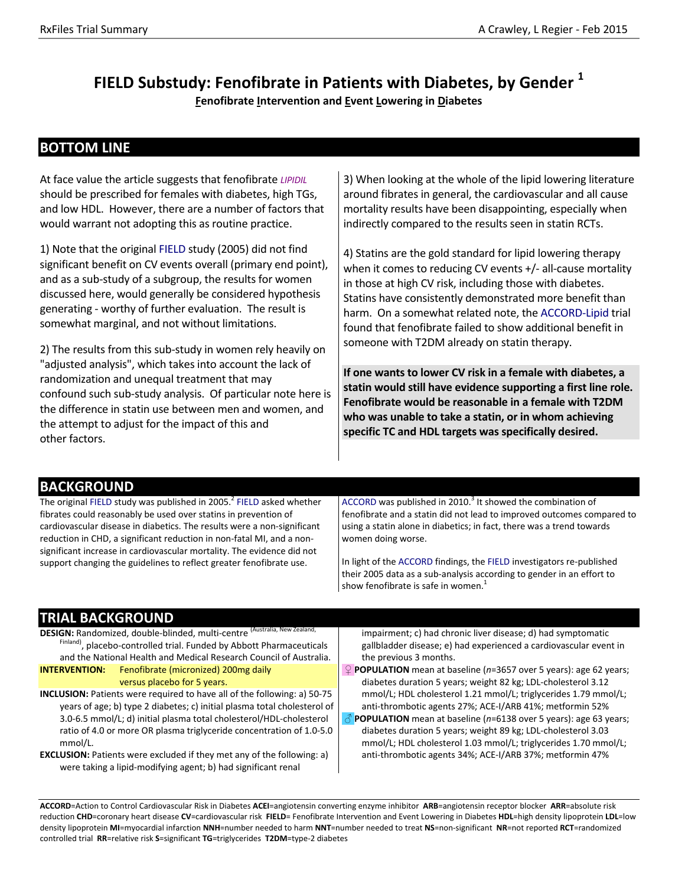# **FIELD Substudy: Fenofibrate in Patients with Diabetes, by Gender <sup>1</sup>**

**Fenofibrate Intervention and Event Lowering in Diabetes**

### **BOTTOM LINE**

At face value the article suggests that fenofibrate *LIPIDIL* should be prescribed for females with diabetes, high TGs, and low HDL. However, there are a number of factors that would warrant not adopting this as routine practice.

1) Note that the original FIELD study (2005) did not find significant benefit on CV events overall (primary end point), and as a sub‐study of a subgroup, the results for women discussed here, would generally be considered hypothesis generating ‐ worthy of further evaluation. The result is somewhat marginal, and not without limitations.

2) The results from this sub‐study in women rely heavily on "adjusted analysis", which takes into account the lack of randomization and unequal treatment that may confound such sub‐study analysis. Of particular note here is the difference in statin use between men and women, and the attempt to adjust for the impact of this and other factors.

3) When looking at the whole of the lipid lowering literature around fibrates in general, the cardiovascular and all cause mortality results have been disappointing, especially when indirectly compared to the results seen in statin RCTs.

4) Statins are the gold standard for lipid lowering therapy when it comes to reducing CV events +/- all-cause mortality in those at high CV risk, including those with diabetes. Statins have consistently demonstrated more benefit than harm. On a somewhat related note, the ACCORD‐Lipid trial found that fenofibrate failed to show additional benefit in someone with T2DM already on statin therapy.

**If one wants to lower CV risk in a female with diabetes, a statin would still have evidence supporting a first line role. Fenofibrate would be reasonable in a female with T2DM who was unable to take a statin, or in whom achieving specific TC and HDL targets was specifically desired.** 

#### **BACKGROUND**

The original FIELD study was published in 2005. $^2$  FIELD asked whether fibrates could reasonably be used over statins in prevention of cardiovascular disease in diabetics. The results were a non‐significant reduction in CHD, a significant reduction in non‐fatal MI, and a non‐ significant increase in cardiovascular mortality. The evidence did not support changing the guidelines to reflect greater fenofibrate use.

ACCORD was published in 2010.<sup>3</sup> It showed the combination of fenofibrate and a statin did not lead to improved outcomes compared to using a statin alone in diabetics; in fact, there was a trend towards women doing worse.

In light of the ACCORD findings, the FIELD investigators re‐published their 2005 data as a sub‐analysis according to gender in an effort to show fenofibrate is safe in women.<sup>1</sup>

## **TRIAL BACKGROUND**

DESIGN: Randomized, double-blinded, multi-centre <sup>(Australia, New Zealand,</sup> Finland), placebo-controlled trial. Funded by Abbott Pharmaceuticals and the National Health and Medical Research Council of Australia. **INTERVENTION:** Fenofibrate (micronized) 200mg daily

versus placebo for 5 years.

- **INCLUSION:** Patients were required to have all of the following: a) 50‐75 years of age; b) type 2 diabetes; c) initial plasma total cholesterol of 3.0‐6.5 mmol/L; d) initial plasma total cholesterol/HDL‐cholesterol ratio of 4.0 or more OR plasma triglyceride concentration of 1.0‐5.0 mmol/L.
- **EXCLUSION:** Patients were excluded if they met any of the following: a) were taking a lipid‐modifying agent; b) had significant renal

impairment; c) had chronic liver disease; d) had symptomatic gallbladder disease; e) had experienced a cardiovascular event in the previous 3 months.

- ♀ **POPULATION** mean at baseline (*n*=3657 over 5 years): age 62 years; diabetes duration 5 years; weight 82 kg; LDL‐cholesterol 3.12 mmol/L; HDL cholesterol 1.21 mmol/L; triglycerides 1.79 mmol/L; anti-thrombotic agents 27%; ACE-I/ARB 41%; metformin 52%
- ♂ **POPULATION** mean at baseline (*n*=6138 over 5 years): age 63 years; diabetes duration 5 years; weight 89 kg; LDL‐cholesterol 3.03 mmol/L; HDL cholesterol 1.03 mmol/L; triglycerides 1.70 mmol/L; anti‐thrombotic agents 34%; ACE‐I/ARB 37%; metformin 47%

**ACCORD**=Action to Control Cardiovascular Risk in Diabetes **ACEI**=angiotensin converting enzyme inhibitor **ARB**=angiotensin receptor blocker **ARR**=absolute risk reduction **CHD**=coronary heart disease **CV**=cardiovascular risk **FIELD**= Fenofibrate Intervention and Event Lowering in Diabetes **HDL**=high density lipoprotein **LDL**=low density lipoprotein **MI**=myocardial infarction **NNH**=number needed to harm **NNT**=number needed to treat **NS**=non‐significant **NR**=not reported **RCT**=randomized controlled trial **RR**=relative risk **S**=significant **TG**=triglycerides **T2DM**=type‐2 diabetes